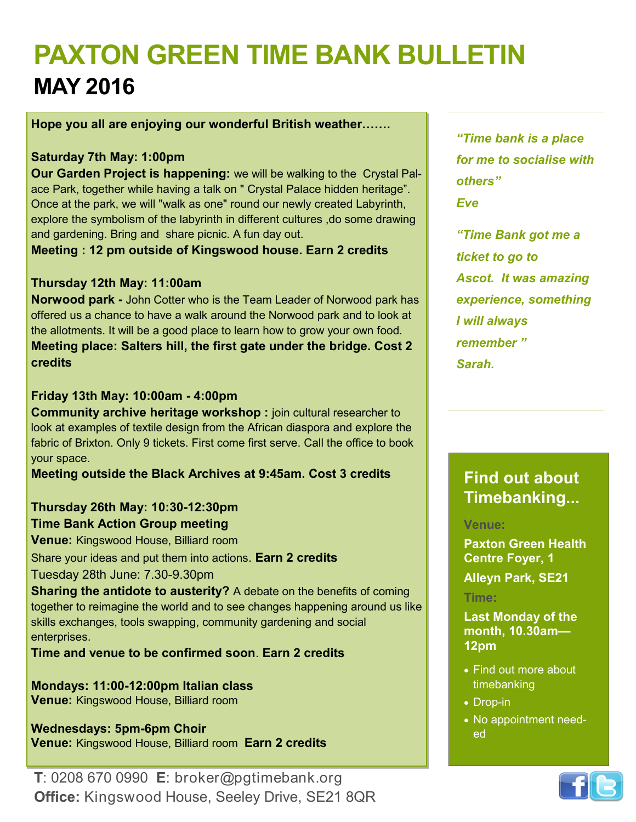# **PAXTON GREEN TIME BANK BULLETIN MAY 2016**

**Hope you all are enjoying our wonderful British weather…….**

#### **Saturday 7th May: 1:00pm**

**Our Garden Project is happening:** we will be walking to the Crystal Palace Park, together while having a talk on " Crystal Palace hidden heritage". Once at the park, we will "walk as one" round our newly created Labyrinth, explore the symbolism of the labyrinth in different cultures ,do some drawing and gardening. Bring and share picnic. A fun day out.

**Meeting : 12 pm outside of Kingswood house. Earn 2 credits**

#### **Thursday 12th May: 11:00am**

**Norwood park -** John Cotter who is the Team Leader of Norwood park has offered us a chance to have a walk around the Norwood park and to look at the allotments. It will be a good place to learn how to grow your own food. **Meeting place: Salters hill, the first gate under the bridge. Cost 2 credits**

#### **Friday 13th May: 10:00am - 4:00pm**

**Community archive heritage workshop:** join cultural researcher to look at examples of textile design from the African diaspora and explore the fabric of Brixton. Only 9 tickets. First come first serve. Call the office to book your space.

**Meeting outside the Black Archives at 9:45am. Cost 3 credits**

#### **Thursday 26th May: 10:30-12:30pm Time Bank Action Group meeting**

**Venue:** Kingswood House, Billiard room

Share your ideas and put them into actions. **Earn 2 credits**

Tuesday 28th June: 7.30-9.30pm

**Sharing the antidote to austerity?** A debate on the benefits of coming together to reimagine the world and to see changes happening around us like skills exchanges, tools swapping, community gardening and social enterprises.

**Time and venue to be confirmed soon**. **Earn 2 credits**

**Mondays: 11:00-12:00pm Italian class Venue:** Kingswood House, Billiard room

**Wednesdays: 5pm-6pm Choir Venue:** Kingswood House, Billiard room **Earn 2 credits**

*"Time bank is a place for me to socialise with others" Eve*

*"Time Bank got me a ticket to go to Ascot. It was amazing experience, something I will always remember " Sarah.*

## **Find out about Timebanking...**

#### **Venue:**

**Paxton Green Health Centre Foyer, 1** 

**Alleyn Park, SE21**

#### **Time:**

**Last Monday of the month, 10.30am— 12pm**

- Find out more about timebanking
- Drop-in
- No appointment needed